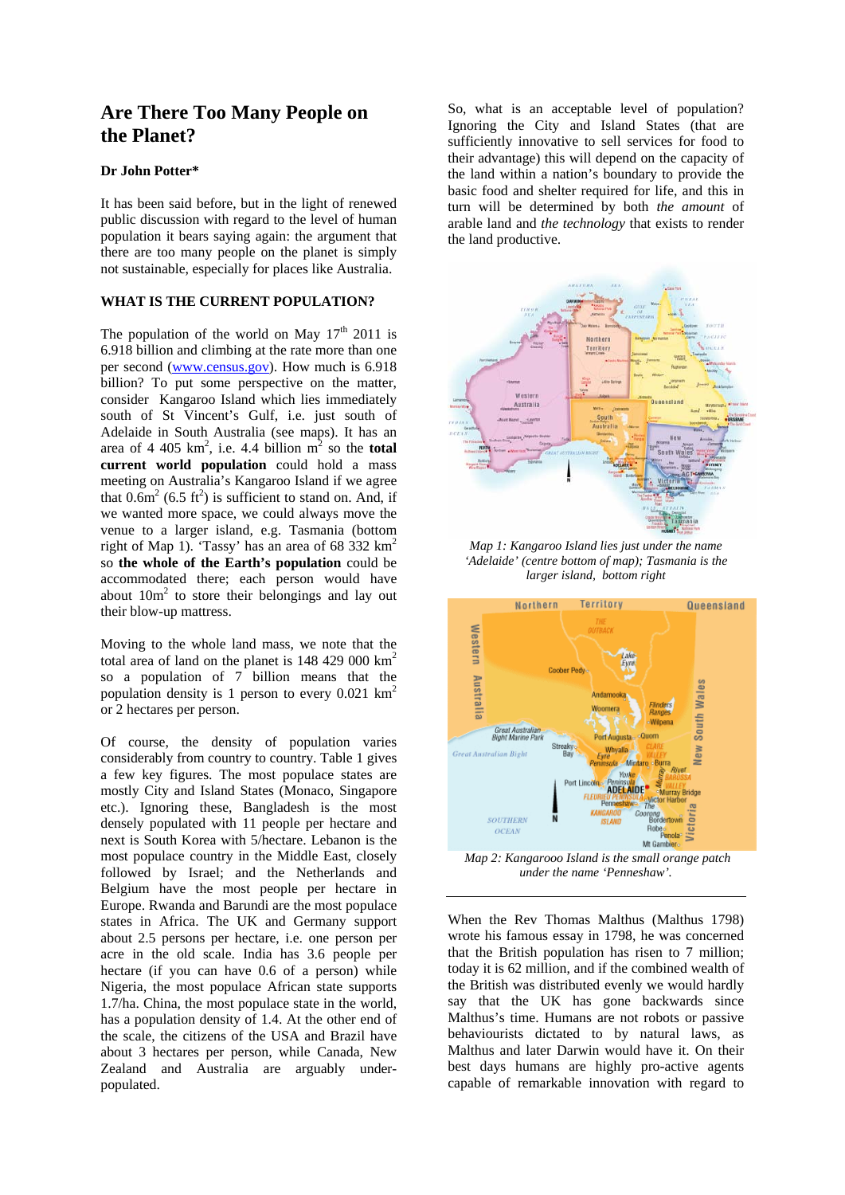# **Are There Too Many People on the Planet?**

# **Dr John Potter\***

It has been said before, but in the light of renewed public discussion with regard to the level of human population it bears saying again: the argument that there are too many people on the planet is simply not sustainable, especially for places like Australia.

### **WHAT IS THE CURRENT POPULATION?**

The population of the world on May  $17<sup>th</sup>$  2011 is 6.918 billion and climbing at the rate more than one per second (www.census.gov). How much is 6.918 billion? To put some perspective on the matter, consider Kangaroo Island which lies immediately south of St Vincent's Gulf, i.e. just south of Adelaide in South Australia (see maps). It has an area of 4 405  $km^2$ , i.e. 4.4 billion  $m^2$  so the **total current world population** could hold a mass meeting on Australia's Kangaroo Island if we agree that  $0.6m^2$  (6.5 ft<sup>2</sup>) is sufficient to stand on. And, if we wanted more space, we could always move the venue to a larger island, e.g. Tasmania (bottom right of Map 1). 'Tassy' has an area of 68 332  $\text{km}^2$ so **the whole of the Earth's population** could be accommodated there; each person would have about  $10m^2$  to store their belongings and lay out their blow-up mattress.

Moving to the whole land mass, we note that the total area of land on the planet is 148 429 000 km2 so a population of 7 billion means that the population density is 1 person to every  $0.021 \text{ km}^2$ or 2 hectares per person.

Of course, the density of population varies considerably from country to country. Table 1 gives a few key figures. The most populace states are mostly City and Island States (Monaco, Singapore etc.). Ignoring these, Bangladesh is the most densely populated with 11 people per hectare and next is South Korea with 5/hectare. Lebanon is the most populace country in the Middle East, closely followed by Israel; and the Netherlands and Belgium have the most people per hectare in Europe. Rwanda and Barundi are the most populace states in Africa. The UK and Germany support about 2.5 persons per hectare, i.e. one person per acre in the old scale. India has 3.6 people per hectare (if you can have 0.6 of a person) while Nigeria, the most populace African state supports 1.7/ha. China, the most populace state in the world, has a population density of 1.4. At the other end of the scale, the citizens of the USA and Brazil have about 3 hectares per person, while Canada, New Zealand and Australia are arguably underpopulated.

So, what is an acceptable level of population? Ignoring the City and Island States (that are sufficiently innovative to sell services for food to their advantage) this will depend on the capacity of the land within a nation's boundary to provide the basic food and shelter required for life, and this in turn will be determined by both *the amount* of arable land and *the technology* that exists to render the land productive.



*Map 1: Kangaroo Island lies just under the name 'Adelaide' (centre bottom of map); Tasmania is the larger island, bottom right* 



 *Map 2: Kangarooo Island is the small orange patch under the name 'Penneshaw'.* 

When the Rev Thomas Malthus (Malthus 1798) wrote his famous essay in 1798, he was concerned that the British population has risen to 7 million; today it is 62 million, and if the combined wealth of the British was distributed evenly we would hardly say that the UK has gone backwards since Malthus's time. Humans are not robots or passive behaviourists dictated to by natural laws, as Malthus and later Darwin would have it. On their best days humans are highly pro-active agents capable of remarkable innovation with regard to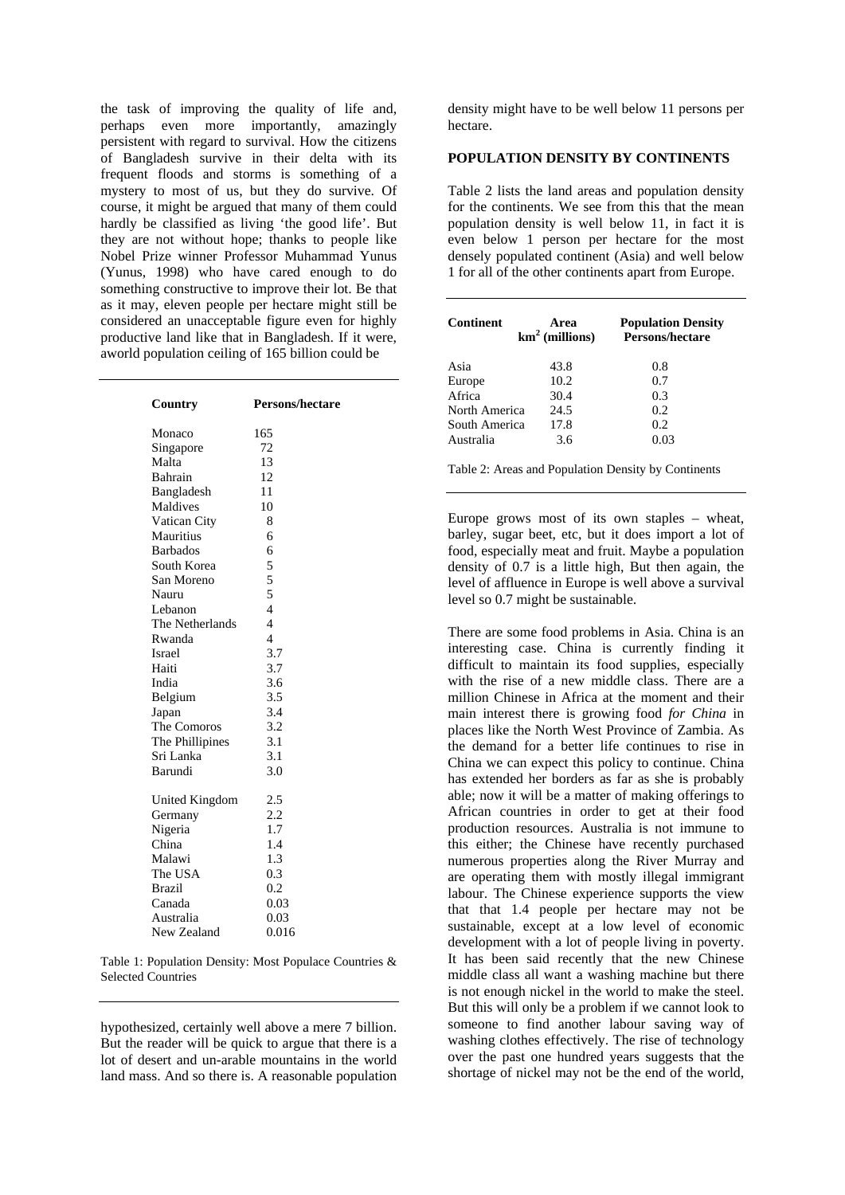the task of improving the quality of life and, perhaps even more importantly, amazingly persistent with regard to survival. How the citizens of Bangladesh survive in their delta with its frequent floods and storms is something of a mystery to most of us, but they do survive. Of course, it might be argued that many of them could hardly be classified as living 'the good life'. But they are not without hope; thanks to people like Nobel Prize winner Professor Muhammad Yunus (Yunus, 1998) who have cared enough to do something constructive to improve their lot. Be that as it may, eleven people per hectare might still be considered an unacceptable figure even for highly productive land like that in Bangladesh. If it were, aworld population ceiling of 165 billion could be

| Country         | Persons/hectare          |
|-----------------|--------------------------|
| Monaco          | 165                      |
| Singapore       | 72                       |
| Malta           | 13                       |
| Bahrain         | 12                       |
| Bangladesh      | 11                       |
| Maldives        | 10                       |
| Vatican City    | 8                        |
| Mauritius       | 6                        |
| <b>Barbados</b> | 6                        |
| South Korea     | 5                        |
| San Moreno      | 5                        |
| Nauru           | 5                        |
| Lebanon         | $\overline{\mathcal{L}}$ |
| The Netherlands | $\overline{4}$           |
| Rwanda          | $\overline{4}$           |
| <b>Israel</b>   | 3.7                      |
| Haiti           | 3.7                      |
| India           | 3.6                      |
| Belgium         | 3.5                      |
| Japan           | 3.4                      |
| The Comoros     | 3.2                      |
| The Phillipines | 3.1                      |
| Sri Lanka       | 3.1                      |
| Barundi         | 3.0                      |
| United Kingdom  | 2.5                      |
| Germany         | 2.2                      |
| Nigeria         | 1.7                      |
| China           | 1.4                      |
| Malawi          | 1.3                      |
| The USA         | 0.3                      |
| <b>Brazil</b>   | 0.2                      |
| Canada          | 0.03                     |
| Australia       | 0.03                     |
| New Zealand     | 0.016                    |

Table 1: Population Density: Most Populace Countries & Selected Countries

hypothesized, certainly well above a mere 7 billion. But the reader will be quick to argue that there is a lot of desert and un-arable mountains in the world land mass. And so there is. A reasonable population

density might have to be well below 11 persons per hectare.

# **POPULATION DENSITY BY CONTINENTS**

Table 2 lists the land areas and population density for the continents. We see from this that the mean population density is well below 11, in fact it is even below 1 person per hectare for the most densely populated continent (Asia) and well below 1 for all of the other continents apart from Europe.

| <b>Continent</b> | Area<br>$km2$ (millions) | <b>Population Density</b><br>Persons/hectare |
|------------------|--------------------------|----------------------------------------------|
| Asia             | 43.8                     | 0.8                                          |
| Europe           | 10.2                     | 0.7                                          |
| Africa           | 30.4                     | 0.3                                          |
| North America    | 24.5                     | 0.2                                          |
| South America    | 17.8                     | 0.2                                          |
| Australia        | 3.6                      | 0.03                                         |

Table 2: Areas and Population Density by Continents

Europe grows most of its own staples – wheat, barley, sugar beet, etc, but it does import a lot of food, especially meat and fruit. Maybe a population density of 0.7 is a little high, But then again, the level of affluence in Europe is well above a survival level so 0.7 might be sustainable.

There are some food problems in Asia. China is an interesting case. China is currently finding it difficult to maintain its food supplies, especially with the rise of a new middle class. There are a million Chinese in Africa at the moment and their main interest there is growing food *for China* in places like the North West Province of Zambia. As the demand for a better life continues to rise in China we can expect this policy to continue. China has extended her borders as far as she is probably able; now it will be a matter of making offerings to African countries in order to get at their food production resources. Australia is not immune to this either; the Chinese have recently purchased numerous properties along the River Murray and are operating them with mostly illegal immigrant labour. The Chinese experience supports the view that that 1.4 people per hectare may not be sustainable, except at a low level of economic development with a lot of people living in poverty. It has been said recently that the new Chinese middle class all want a washing machine but there is not enough nickel in the world to make the steel. But this will only be a problem if we cannot look to someone to find another labour saving way of washing clothes effectively. The rise of technology over the past one hundred years suggests that the shortage of nickel may not be the end of the world,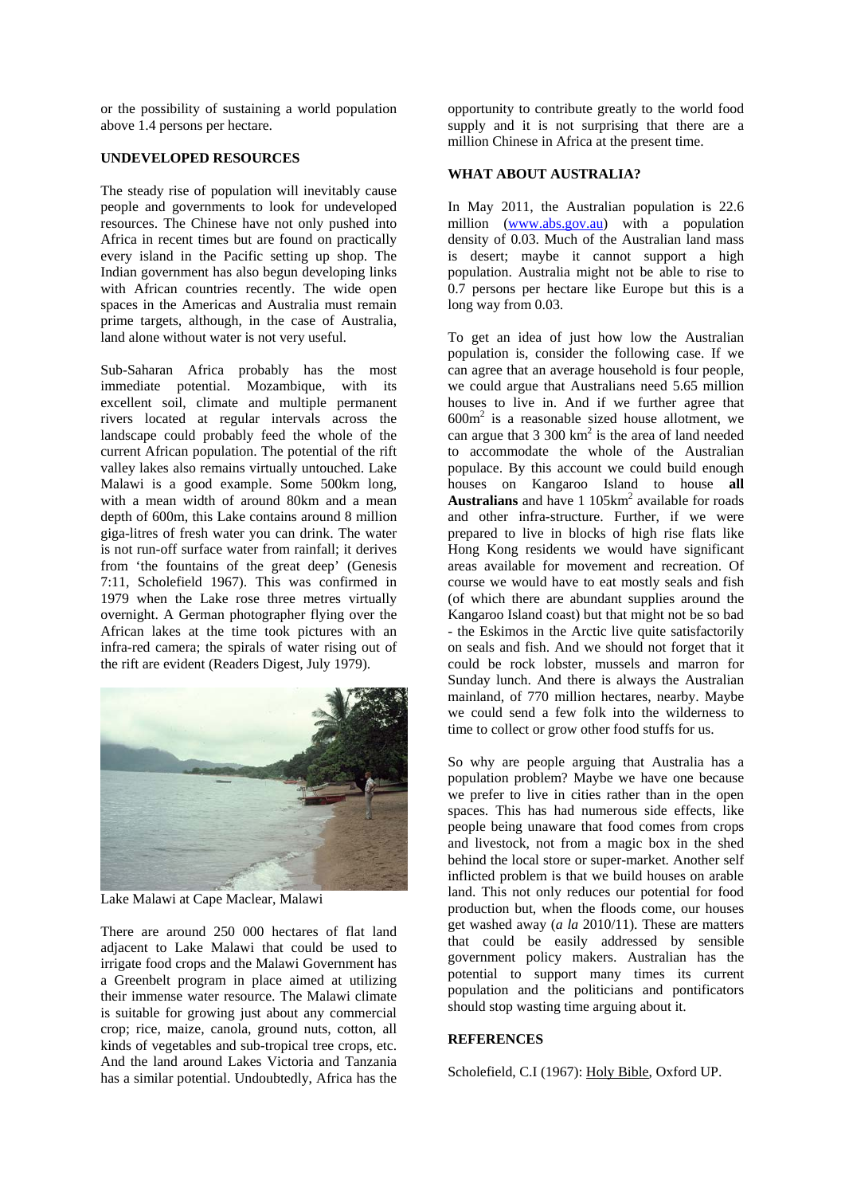or the possibility of sustaining a world population above 1.4 persons per hectare.

# **UNDEVELOPED RESOURCES**

The steady rise of population will inevitably cause people and governments to look for undeveloped resources. The Chinese have not only pushed into Africa in recent times but are found on practically every island in the Pacific setting up shop. The Indian government has also begun developing links with African countries recently. The wide open spaces in the Americas and Australia must remain prime targets, although, in the case of Australia, land alone without water is not very useful.

Sub-Saharan Africa probably has the most immediate potential. Mozambique, with its excellent soil, climate and multiple permanent rivers located at regular intervals across the landscape could probably feed the whole of the current African population. The potential of the rift valley lakes also remains virtually untouched. Lake Malawi is a good example. Some 500km long, with a mean width of around 80km and a mean depth of 600m, this Lake contains around 8 million giga-litres of fresh water you can drink. The water is not run-off surface water from rainfall; it derives from 'the fountains of the great deep' (Genesis 7:11, Scholefield 1967). This was confirmed in 1979 when the Lake rose three metres virtually overnight. A German photographer flying over the African lakes at the time took pictures with an infra-red camera; the spirals of water rising out of the rift are evident (Readers Digest, July 1979).



Lake Malawi at Cape Maclear, Malawi

There are around 250 000 hectares of flat land adjacent to Lake Malawi that could be used to irrigate food crops and the Malawi Government has a Greenbelt program in place aimed at utilizing their immense water resource. The Malawi climate is suitable for growing just about any commercial crop; rice, maize, canola, ground nuts, cotton, all kinds of vegetables and sub-tropical tree crops, etc. And the land around Lakes Victoria and Tanzania has a similar potential. Undoubtedly, Africa has the opportunity to contribute greatly to the world food supply and it is not surprising that there are a million Chinese in Africa at the present time.

# **WHAT ABOUT AUSTRALIA?**

In May 2011, the Australian population is 22.6 million (www.abs.gov.au) with a population density of 0.03. Much of the Australian land mass is desert; maybe it cannot support a high population. Australia might not be able to rise to 0.7 persons per hectare like Europe but this is a long way from 0.03.

To get an idea of just how low the Australian population is, consider the following case. If we can agree that an average household is four people, we could argue that Australians need 5.65 million houses to live in. And if we further agree that 600m2 is a reasonable sized house allotment, we can argue that  $3\,300 \text{ km}^2$  is the area of land needed to accommodate the whole of the Australian populace. By this account we could build enough houses on Kangaroo Island to house **all**  Australians and have 1 105km<sup>2</sup> available for roads and other infra-structure. Further, if we were prepared to live in blocks of high rise flats like Hong Kong residents we would have significant areas available for movement and recreation. Of course we would have to eat mostly seals and fish (of which there are abundant supplies around the Kangaroo Island coast) but that might not be so bad - the Eskimos in the Arctic live quite satisfactorily on seals and fish. And we should not forget that it could be rock lobster, mussels and marron for Sunday lunch. And there is always the Australian mainland, of 770 million hectares, nearby. Maybe we could send a few folk into the wilderness to time to collect or grow other food stuffs for us.

So why are people arguing that Australia has a population problem? Maybe we have one because we prefer to live in cities rather than in the open spaces. This has had numerous side effects, like people being unaware that food comes from crops and livestock, not from a magic box in the shed behind the local store or super-market. Another self inflicted problem is that we build houses on arable land. This not only reduces our potential for food production but, when the floods come, our houses get washed away (*a la* 2010/11). These are matters that could be easily addressed by sensible government policy makers. Australian has the potential to support many times its current population and the politicians and pontificators should stop wasting time arguing about it.

#### **REFERENCES**

Scholefield, C.I (1967): Holy Bible, Oxford UP.